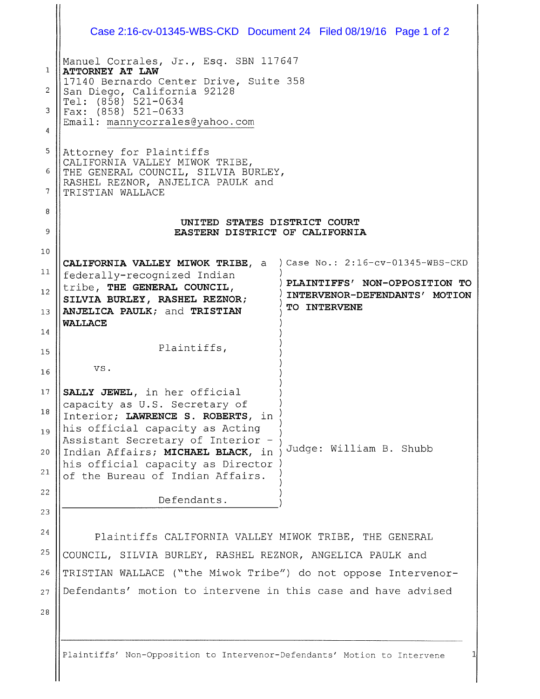|                                                        | Case 2:16-cv-01345-WBS-CKD Document 24 Filed 08/19/16 Page 1 of 2                                                                                                                                                                                                                                                                                                                                                                                        |  |                         |                                                                |
|--------------------------------------------------------|----------------------------------------------------------------------------------------------------------------------------------------------------------------------------------------------------------------------------------------------------------------------------------------------------------------------------------------------------------------------------------------------------------------------------------------------------------|--|-------------------------|----------------------------------------------------------------|
| 1<br>$\overline{2}$<br>3<br>4<br>5<br>6<br>7<br>8<br>9 | Manuel Corrales, Jr., Esq. SBN 117647<br>ATTORNEY AT LAW<br>17140 Bernardo Center Drive, Suite 358<br>San Diego, California 92128<br>Tel: $(8\bar{5}8)$ 521-0634<br>Fax: (858) 521-0633<br>Email: mannycorrales@yahoo.com<br>Attorney for Plaintiffs<br>CALIFORNIA VALLEY MIWOK TRIBE,<br>THE GENERAL COUNCIL, SILVIA BURLEY,<br>RASHEL REZNOR, ANJELICA PAULK and<br>TRISTIAN WALLACE<br>UNITED STATES DISTRICT COURT<br>EASTERN DISTRICT OF CALIFORNIA |  |                         |                                                                |
| 10                                                     |                                                                                                                                                                                                                                                                                                                                                                                                                                                          |  |                         |                                                                |
| 11                                                     | CALIFORNIA VALLEY MIWOK TRIBE, a<br>federally-recognized Indian                                                                                                                                                                                                                                                                                                                                                                                          |  |                         | ) Case No.: 2:16-cv-01345-WBS-CKD                              |
| 12<br>13                                               | tribe, THE GENERAL COUNCIL,<br>SILVIA BURLEY, RASHEL REZNOR;<br>ANJELICA PAULK; and TRISTIAN                                                                                                                                                                                                                                                                                                                                                             |  | TO INTERVENE            | PLAINTIFFS' NON-OPPOSITION TO<br>INTERVENOR-DEFENDANTS' MOTION |
| 14                                                     | <b>WALLACE</b>                                                                                                                                                                                                                                                                                                                                                                                                                                           |  |                         |                                                                |
| 15                                                     | Plaintiffs,                                                                                                                                                                                                                                                                                                                                                                                                                                              |  |                         |                                                                |
| 16                                                     | VS.                                                                                                                                                                                                                                                                                                                                                                                                                                                      |  |                         |                                                                |
| 17                                                     | SALLY JEWEL, in her official                                                                                                                                                                                                                                                                                                                                                                                                                             |  |                         |                                                                |
| 18                                                     | capacity as U.S. Secretary of<br>Interior; LAWRENCE S. ROBERTS, in                                                                                                                                                                                                                                                                                                                                                                                       |  |                         |                                                                |
| 19                                                     | his official capacity as Acting<br>Assistant Secretary of Interior -                                                                                                                                                                                                                                                                                                                                                                                     |  |                         |                                                                |
| 20                                                     | Indian Affairs; MICHAEL BLACK, in                                                                                                                                                                                                                                                                                                                                                                                                                        |  | Judge: William B. Shubb |                                                                |
| 21                                                     | his official capacity as Director<br>of the Bureau of Indian Affairs.                                                                                                                                                                                                                                                                                                                                                                                    |  |                         |                                                                |
| 22                                                     | Defendants.                                                                                                                                                                                                                                                                                                                                                                                                                                              |  |                         |                                                                |
| 23                                                     |                                                                                                                                                                                                                                                                                                                                                                                                                                                          |  |                         |                                                                |
| 24                                                     | Plaintiffs CALIFORNIA VALLEY MIWOK TRIBE, THE GENERAL                                                                                                                                                                                                                                                                                                                                                                                                    |  |                         |                                                                |
| 25                                                     | COUNCIL, SILVIA BURLEY, RASHEL REZNOR, ANGELICA PAULK and                                                                                                                                                                                                                                                                                                                                                                                                |  |                         |                                                                |
| 26                                                     | TRISTIAN WALLACE ("the Miwok Tribe") do not oppose Intervenor-                                                                                                                                                                                                                                                                                                                                                                                           |  |                         |                                                                |
| 27                                                     | Defendants' motion to intervene in this case and have advised                                                                                                                                                                                                                                                                                                                                                                                            |  |                         |                                                                |
| 28                                                     |                                                                                                                                                                                                                                                                                                                                                                                                                                                          |  |                         |                                                                |
|                                                        |                                                                                                                                                                                                                                                                                                                                                                                                                                                          |  |                         |                                                                |
|                                                        | Plaintiffs' Non-Opposition to Intervenor-Defendants' Motion to Intervene                                                                                                                                                                                                                                                                                                                                                                                 |  |                         |                                                                |

 $\mathbf{\mathsf{H}}$